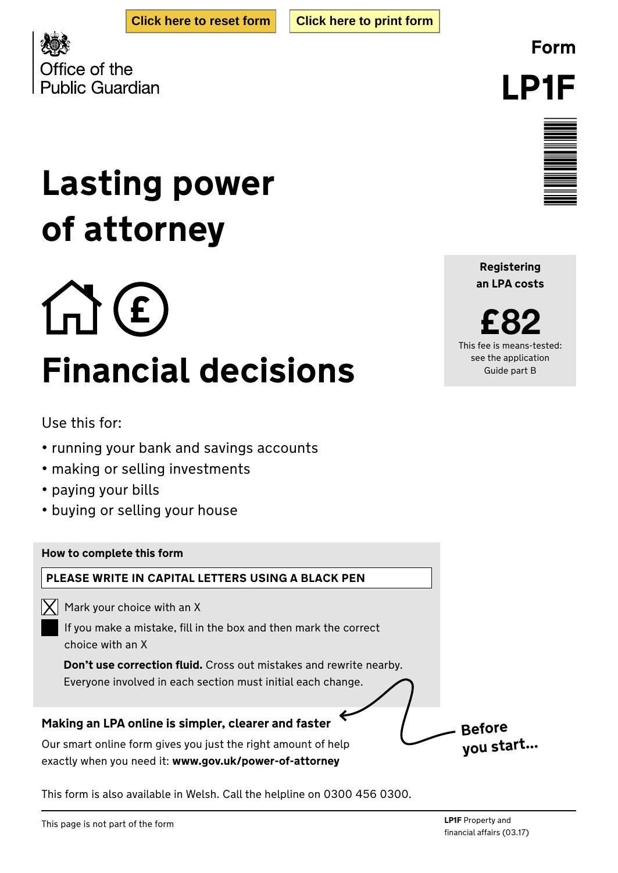**Click here to reset form | Click here to print form** 



# **Lasting power of attorney**

 $\bigcap$  $\big(\underline{\mathbf{f}}\big)$ 

# **Financial decisions**

**an LPA costs**

**Registering** 

**£82** This fee is means-tested: see the application Guide part B

Use this for:

- running your bank and savings accounts
- making or selling investments
- paying your bills
- buying or selling your house

#### **How to complete this form**

#### **PLEASE WRITE IN CAPITAL LETTERS USING A BLACK PEN**

 $|\mathsf{X}|$  Mark your choice with an X

If you make a mistake, fill in the box and then mark the correct choice with an X

**Don't use correction fluid.** Cross out mistakes and rewrite nearby. Everyone involved in each section must initial each change.

#### **Making an LPA online is simpler, clearer and faster**

Our smart online form gives you just the right amount of help exactly when you need it: **www.gov.uk/power-of-attorney**

This form is also available in Welsh. Call the helpline on 0300 456 0300.

# **Form LP1F**



**Before you start...**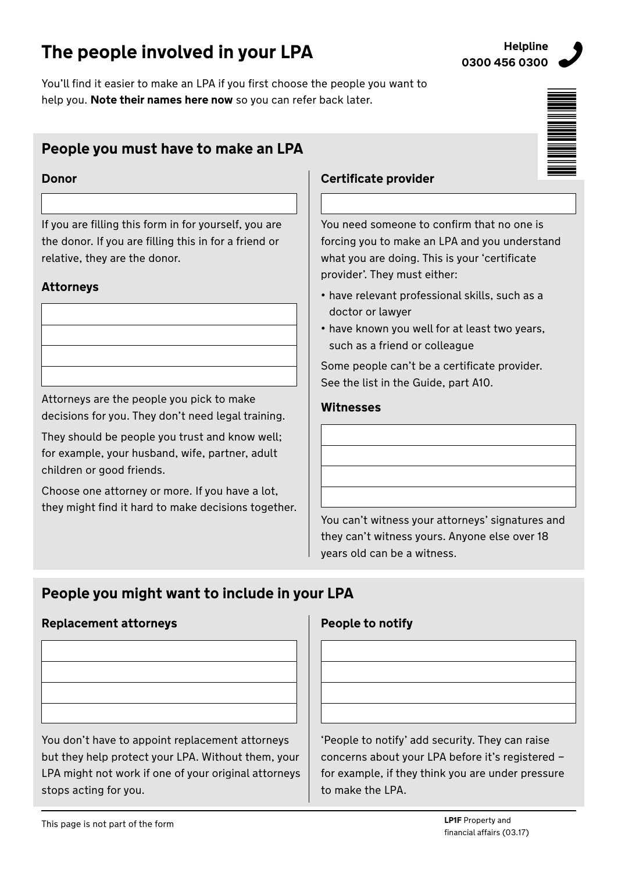### **The people involved in your LPA**

You'll find it easier to make an LPA if you first choose the people you want to help you. **Note their names here now** so you can refer back later.

#### **People you must have to make an LPA**

#### **Donor**

If you are filling this form in for yourself, you are the donor. If you are filling this in for a friend or relative, they are the donor.

#### **Attorneys**

Attorneys are the people you pick to make decisions for you. They don't need legal training.

They should be people you trust and know well; for example, your husband, wife, partner, adult children or good friends.

Choose one attorney or more. If you have a lot, they might find it hard to make decisions together.

#### **Certificate provider**

You need someone to confirm that no one is forcing you to make an LPA and you understand what you are doing. This is your 'certificate provider'. They must either:

- have relevant professional skills, such as a doctor or lawyer
- have known you well for at least two years, such as a friend or colleague

Some people can't be a certificate provider. See the list in the Guide, part A10.

#### **Witnesses**

You can't witness your attorneys' signatures and they can't witness yours. Anyone else over 18 years old can be a witness.

#### **People you might want to include in your LPA**

#### **Replacement attorneys**

You don't have to appoint replacement attorneys but they help protect your LPA. Without them, your LPA might not work if one of your original attorneys stops acting for you.

#### **People to notify**

'People to notify' add security. They can raise concerns about your LPA before it's registered – for example, if they think you are under pressure to make the LPA.



#### **Helpline 0300 456 0300**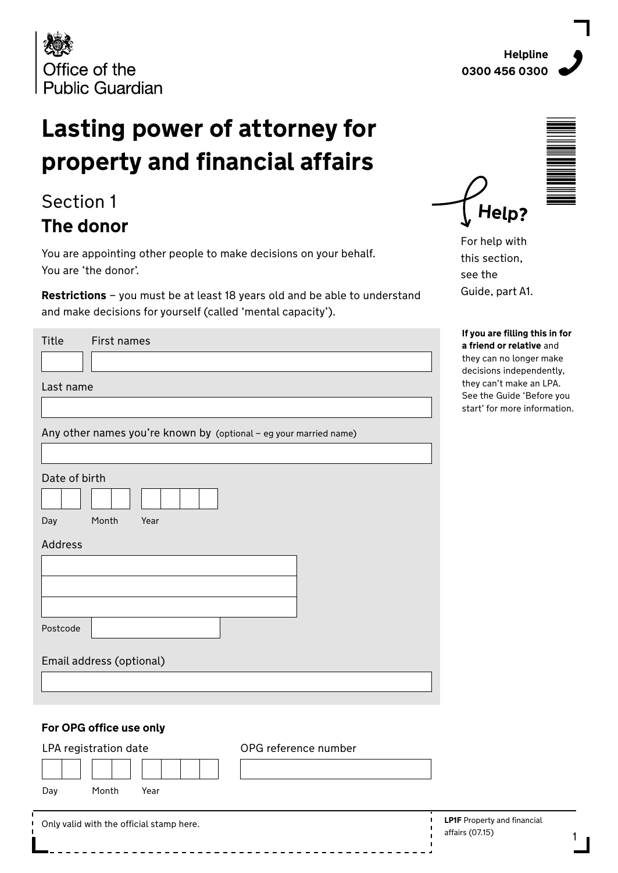

**Helpline 0300 456 0300**

# **Lasting power of attorney for property and financial affairs**

### Section 1

### **The donor**

You are appointing other people to make decisions on your behalf. You are 'the donor'.

**Restrictions** – you must be at least 18 years old and be able to understand and make decisions for yourself (called 'mental capacity').



For help with this section, see the Guide, part A1.

**If you are filling this in for a friend or relative** and they can no longer make decisions independently, they can't make an LPA. See the Guide 'Before you start' for more information.

1

| <b>Title</b><br>First names                                       |
|-------------------------------------------------------------------|
| Last name                                                         |
|                                                                   |
| Any other names you're known by (optional - eg your married name) |
|                                                                   |
| Date of birth<br>Month<br>Year<br>Day                             |
| Address                                                           |
|                                                                   |
|                                                                   |
| Postcode                                                          |
| Email address (optional)                                          |
|                                                                   |
|                                                                   |

#### **For OPG office use only**

| LPA registration date                    | OPG reference number |                                                       |
|------------------------------------------|----------------------|-------------------------------------------------------|
| Month<br>Day<br>Year                     |                      |                                                       |
| Only valid with the official stamp here. |                      | <b>LP1F</b> Property and financial<br>affairs (07.15) |

-----------------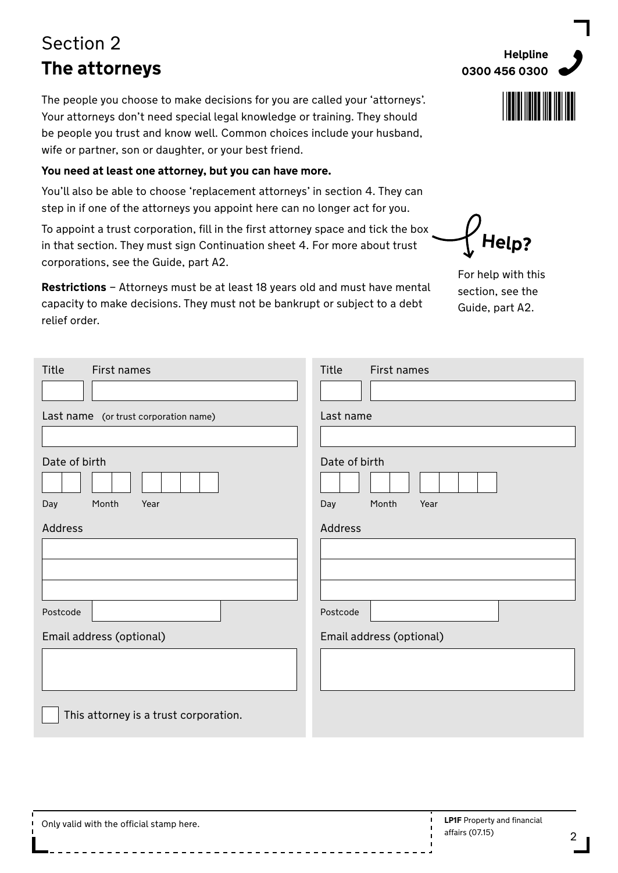### Section 2 **The attorneys**

Only valid with the official stamp here.

The people you choose to make decisions for you are called your 'attorneys'. Your attorneys don't need special legal knowledge or training. They should be people you trust and know well. Common choices include your husband, wife or partner, son or daughter, or your best friend.

#### **You need at least one attorney, but you can have more.**

You'll also be able to choose 'replacement attorneys' in section 4. They can step in if one of the attorneys you appoint here can no longer act for you.

To appoint a trust corporation, fill in the first attorney space and tick the box in that section. They must sign Continuation sheet 4. For more about trust corporations, see the Guide, part A2.

**Restrictions** – Attorneys must be at least 18 years old and must have mental capacity to make decisions. They must not be bankrupt or subject to a debt relief order.

| Title                                                             | Title                    |
|-------------------------------------------------------------------|--------------------------|
| First names                                                       | First names              |
| Last name (or trust corporation name)                             | Last name                |
| Date of birth                                                     | Date of birth            |
| Day                                                               | Month                    |
| Month                                                             | Year                     |
| Year                                                              | Day                      |
| Address                                                           | Address                  |
| Postcode                                                          | Postcode                 |
| Email address (optional)<br>This attorney is a trust corporation. | Email address (optional) |



For help with this section, see the Guide, part A2.



2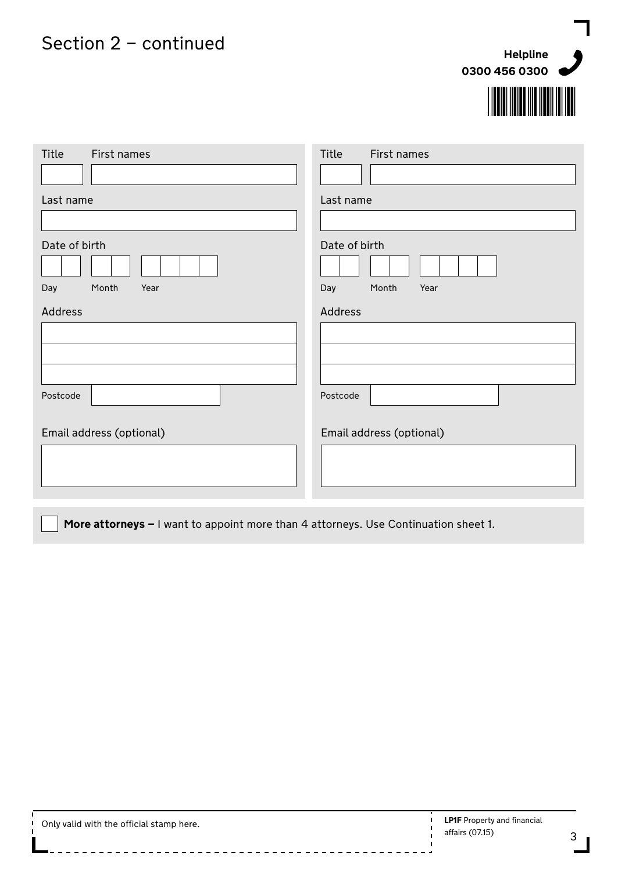### Section 2 – continued

**Helpline 0300 456 0300**



| Title<br>First names                  | Title<br>First names                  |
|---------------------------------------|---------------------------------------|
| Last name                             | Last name                             |
| Date of birth<br>Month<br>Year<br>Day | Date of birth<br>Month<br>Day<br>Year |
| Address                               | Address                               |
|                                       |                                       |
| Postcode                              | Postcode                              |
| Email address (optional)              | Email address (optional)              |
|                                       |                                       |
|                                       |                                       |

**More attorneys –** I want to appoint more than 4 attorneys. Use Continuation sheet 1.

 $- - -$ 

 $\blacksquare$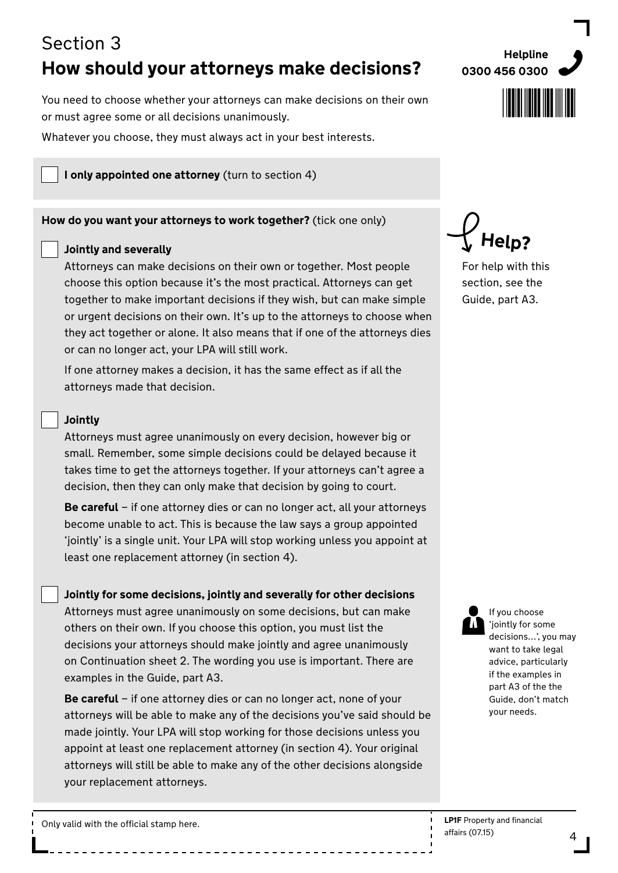### Section 3 **How should your attorneys make decisions?**

You need to choose whether your attorneys can make decisions on their own or must agree some or all decisions unanimously.

Whatever you choose, they must always act in your best interests.

**I only appointed one attorney** (turn to section 4)

#### **How do you want your attorneys to work together?** (tick one only)

#### **Jointly and severally**

Attorneys can make decisions on their own or together. Most people choose this option because it's the most practical. Attorneys can get together to make important decisions if they wish, but can make simple or urgent decisions on their own. It's up to the attorneys to choose when they act together or alone. It also means that if one of the attorneys dies or can no longer act, your LPA will still work.

If one attorney makes a decision, it has the same effect as if all the attorneys made that decision.

#### **Jointly**

Attorneys must agree unanimously on every decision, however big or small. Remember, some simple decisions could be delayed because it takes time to get the attorneys together. If your attorneys can't agree a decision, then they can only make that decision by going to court.

 **Be careful** – if one attorney dies or can no longer act, all your attorneys become unable to act. This is because the law says a group appointed 'jointly' is a single unit. Your LPA will stop working unless you appoint at least one replacement attorney (in section 4).

**Jointly for some decisions, jointly and severally for other decisions**

Attorneys must agree unanimously on some decisions, but can make others on their own. If you choose this option, you must list the decisions your attorneys should make jointly and agree unanimously on Continuation sheet 2. The wording you use is important. There are examples in the Guide, part A3.

**Be careful** – if one attorney dies or can no longer act, none of your attorneys will be able to make any of the decisions you've said should be made jointly. Your LPA will stop working for those decisions unless you appoint at least one replacement attorney (in section 4). Your original attorneys will still be able to make any of the other decisions alongside your replacement attorneys.



**Help?**

For help with this section, see the Guide, part A3.



If you choose 'jointly for some decisions…', you may want to take legal advice, particularly if the examples in part A3 of the the Guide, don't match your needs.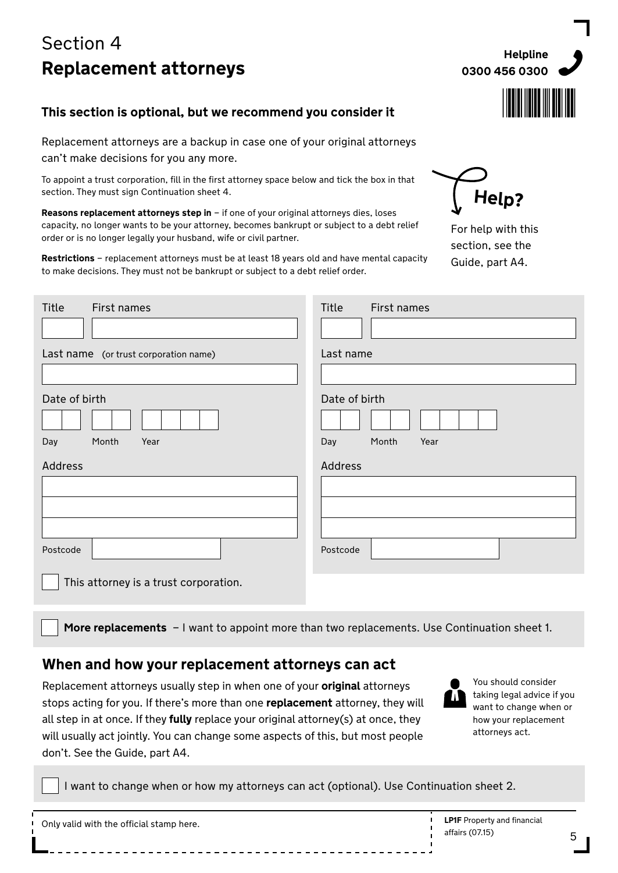### Section 4 **Replacement attorneys**

#### **This section is optional, but we recommend you consider it**

Replacement attorneys are a backup in case one of your original attorneys can't make decisions for you any more.

To appoint a trust corporation, fill in the first attorney space below and tick the box in that section. They must sign Continuation sheet 4.

**Reasons replacement attorneys step in** – if one of your original attorneys dies, loses capacity, no longer wants to be your attorney, becomes bankrupt or subject to a debt relief order or is no longer legally your husband, wife or civil partner.

**Restrictions** – replacement attorneys must be at least 18 years old and have mental capacity to make decisions. They must not be bankrupt or subject to a debt relief order.

| Title<br>First names                  | Title<br>First names |
|---------------------------------------|----------------------|
|                                       |                      |
| Last name (or trust corporation name) | Last name            |
|                                       |                      |
| Date of birth                         | Date of birth        |
|                                       |                      |
| Month<br>Day<br>Year                  | Month<br>Year<br>Day |
| Address                               | Address              |
|                                       |                      |
|                                       |                      |
|                                       |                      |
|                                       |                      |
| Postcode                              | Postcode             |
|                                       |                      |
| This attorney is a trust corporation. |                      |

 **More replacements** – I want to appoint more than two replacements. Use Continuation sheet 1.

#### **When and how your replacement attorneys can act**

Replacement attorneys usually step in when one of your **original** attorneys stops acting for you. If there's more than one **replacement** attorney, they will all step in at once. If they **fully** replace your original attorney(s) at once, they will usually act jointly. You can change some aspects of this, but most people don't. See the Guide, part A4.



You should consider taking legal advice if you want to change when or how your replacement attorneys act.

I want to change when or how my attorneys can act (optional). Use Continuation sheet 2.

**0300 456 0300** <u>|| || || || || || ||</u>

**Helpline**



For help with this section, see the Guide, part A4.

Only valid with the official stamp here.

**LP1F** Property and financial affairs (07.15)

#### 5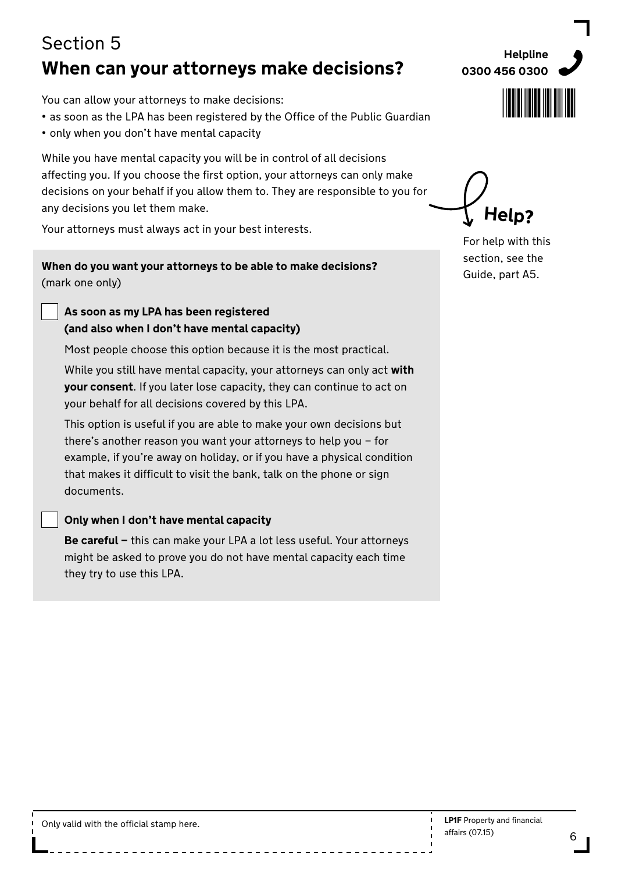### Section 5 **When can your attorneys make decisions?**

You can allow your attorneys to make decisions:

- as soon as the LPA has been registered by the Office of the Public Guardian
- only when you don't have mental capacity

While you have mental capacity you will be in control of all decisions affecting you. If you choose the first option, your attorneys can only make decisions on your behalf if you allow them to. They are responsible to you for any decisions you let them make.

Your attorneys must always act in your best interests.

#### **When do you want your attorneys to be able to make decisions?**  (mark one only)

#### **As soon as my LPA has been registered (and also when I don't have mental capacity)**

Most people choose this option because it is the most practical.

While you still have mental capacity, your attorneys can only act **with your consent**. If you later lose capacity, they can continue to act on your behalf for all decisions covered by this LPA.

This option is useful if you are able to make your own decisions but there's another reason you want your attorneys to help you – for example, if you're away on holiday, or if you have a physical condition that makes it difficult to visit the bank, talk on the phone or sign documents.

#### **Only when I don't have mental capacity**

**Be careful –** this can make your LPA a lot less useful. Your attorneys might be asked to prove you do not have mental capacity each time they try to use this LPA.



**Help?**

For help with this section, see the Guide, part A5.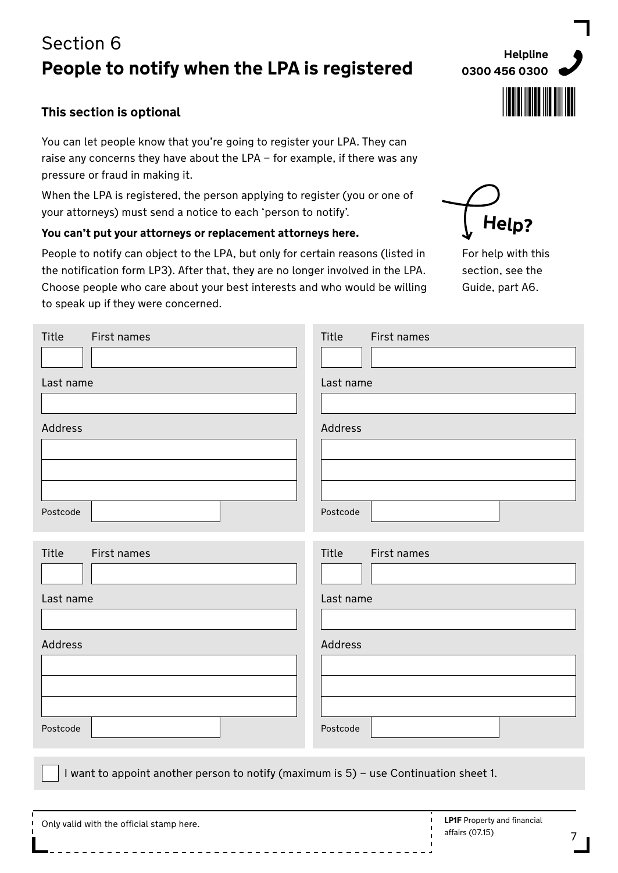### Section 6 **People to notify when the LPA is registered**

#### **This section is optional**

You can let people know that you're going to register your LPA. They can raise any concerns they have about the LPA – for example, if there was any pressure or fraud in making it.

When the LPA is registered, the person applying to register (you or one of your attorneys) must send a notice to each 'person to notify'.

#### **You can't put your attorneys or replacement attorneys here.**

**Helpline 0300 456 0300** <u>||||||||||||||||||||||</u>



For help with this section, see the Guide, part A6.

People to notify can object to the LPA, but only for certain reasons (listed in the notification form LP3). After that, they are no longer involved in the LPA. Choose people who care about your best interests and who would be willing to speak up if they were concerned.

| Title<br>First names     | Title<br>First names |
|--------------------------|----------------------|
|                          |                      |
| Last name                | Last name            |
|                          |                      |
| Address                  | Address              |
|                          |                      |
|                          |                      |
|                          |                      |
| Postcode                 | Postcode             |
|                          |                      |
| Title<br>First names     | Title<br>First names |
|                          |                      |
| Last name                | Last name            |
|                          |                      |
| Address                  | Address              |
|                          |                      |
|                          |                      |
|                          |                      |
| Postcode                 | Postcode             |
| $\overline{\phantom{0}}$ |                      |

I want to appoint another person to notify (maximum is 5) – use Continuation sheet 1.

| Only valid with the official stamp here. | <b>LP1F</b> Property and financial<br>$\mathbf{I}$<br>affairs (07.15) |
|------------------------------------------|-----------------------------------------------------------------------|
|                                          |                                                                       |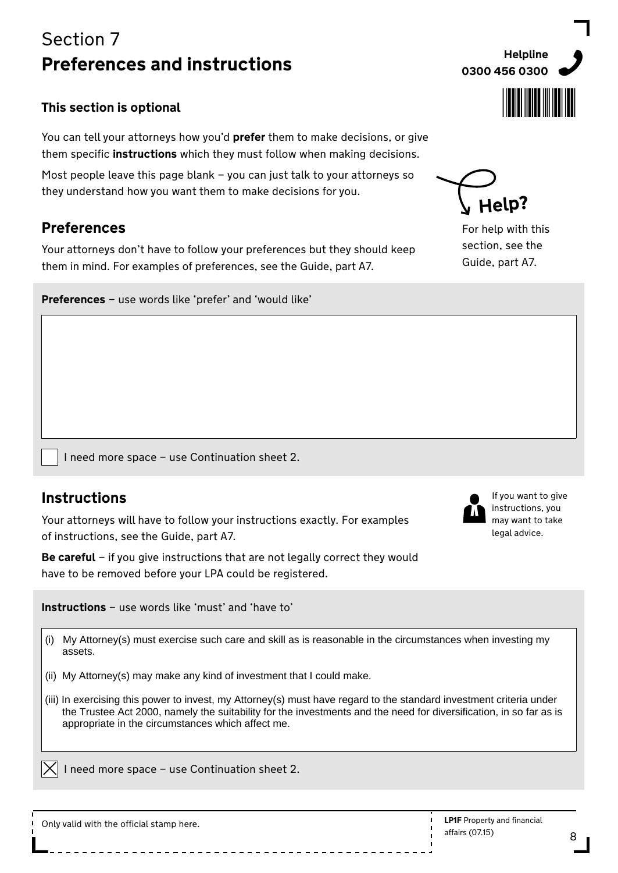### Section 7 **Preferences and instructions**

#### **This section is optional**

You can tell your attorneys how you'd **prefer** them to make decisions, or give them specific **instructions** which they must follow when making decisions.

Most people leave this page blank – you can just talk to your attorneys so they understand how you want them to make decisions for you.

### **Preferences**

Your attorneys don't have to follow your preferences but they should keep them in mind. For examples of preferences, see the Guide, part A7.

**Preferences** – use words like 'prefer' and 'would like'

| Help? |
|-------|

For help with this section, see the Guide, part A7.

I need more space – use Continuation sheet 2.

#### **Instructions**

Your attorneys will have to follow your instructions exactly. For examples of instructions, see the Guide, part A7.

**Be careful** – if you give instructions that are not legally correct they would have to be removed before your LPA could be registered.

**Instructions** – use words like 'must' and 'have to'

(i) My Attorney(s) must exercise such care and skill as is reasonable in the circumstances when investing my assets.

(ii) My Attorney(s) may make any kind of investment that I could make.

(iii) In exercising this power to invest, my Attorney(s) must have regard to the standard investment criteria under the Trustee Act 2000, namely the suitability for the investments and the need for diversification, in so far as is appropriate in the circumstances which affect me.

\_ \_ \_ \_ \_ \_ \_ \_ \_ \_ \_ \_ \_ \_ \_ \_ \_ \_ \_

 $|X|$  I need more space – use Continuation sheet 2.



| If you want to give |  |
|---------------------|--|
| instructions, you   |  |
| may want to take    |  |
| legal advice.       |  |

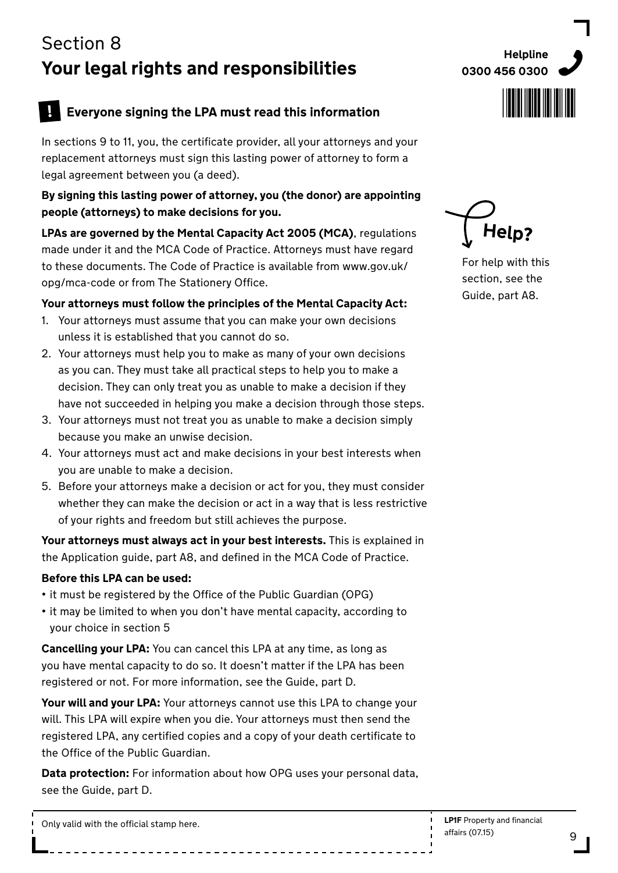### Section 8 **Your legal rights and responsibilities**

#### **Everyone signing the LPA must read this information**

In sections 9 to 11, you, the certificate provider, all your attorneys and your replacement attorneys must sign this lasting power of attorney to form a legal agreement between you (a deed).

#### **By signing this lasting power of attorney, you (the donor) are appointing people (attorneys) to make decisions for you.**

**LPAs are governed by the Mental Capacity Act 2005 (MCA)**, regulations made under it and the MCA Code of Practice. Attorneys must have regard to these documents. The Code of Practice is available from www.gov.uk/ opg/mca-code or from The Stationery Office.

#### **Your attorneys must follow the principles of the Mental Capacity Act:**

- 1. Your attorneys must assume that you can make your own decisions unless it is established that you cannot do so.
- 2. Your attorneys must help you to make as many of your own decisions as you can. They must take all practical steps to help you to make a decision. They can only treat you as unable to make a decision if they have not succeeded in helping you make a decision through those steps.
- 3. Your attorneys must not treat you as unable to make a decision simply because you make an unwise decision.
- 4. Your attorneys must act and make decisions in your best interests when you are unable to make a decision.
- 5. Before your attorneys make a decision or act for you, they must consider whether they can make the decision or act in a way that is less restrictive of your rights and freedom but still achieves the purpose.

**Your attorneys must always act in your best interests.** This is explained in the Application guide, part A8, and defined in the MCA Code of Practice.

#### **Before this LPA can be used:**

- it must be registered by the Office of the Public Guardian (OPG)
- it may be limited to when you don't have mental capacity, according to your choice in section 5

**Cancelling your LPA:** You can cancel this LPA at any time, as long as you have mental capacity to do so. It doesn't matter if the LPA has been registered or not. For more information, see the Guide, part D.

**Your will and your LPA:** Your attorneys cannot use this LPA to change your will. This LPA will expire when you die. Your attorneys must then send the registered LPA, any certified copies and a copy of your death certificate to the Office of the Public Guardian.

**Data protection:** For information about how OPG uses your personal data, see the Guide, part D.

\_\_\_\_\_\_\_\_\_\_\_\_\_\_\_\_\_\_\_\_\_





For help with this section, see the Guide, part A8.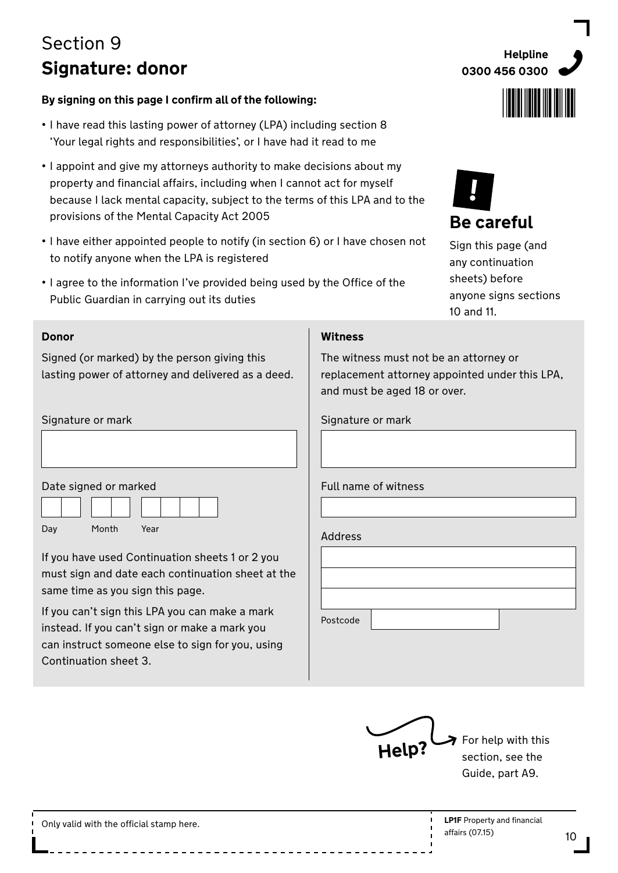### Section 9 **Signature: donor**

#### **By signing on this page I confirm all of the following:**

- I have read this lasting power of attorney (LPA) including section 8 'Your legal rights and responsibilities', or I have had it read to me
- I appoint and give my attorneys authority to make decisions about my property and financial affairs, including when I cannot act for myself because I lack mental capacity, subject to the terms of this LPA and to the provisions of the Mental Capacity Act 2005
- I have either appointed people to notify (in section 6) or I have chosen not to notify anyone when the LPA is registered
- I agree to the information I've provided being used by the Office of the Public Guardian in carrying out its duties

#### **Donor**

Signed (or marked) by the person giving this lasting power of attorney and delivered as a deed.

Signature or mark

Date signed or marked

Day Month Year

If you have used Continuation sheets 1 or 2 you must sign and date each continuation sheet at the same time as you sign this page.

If you can't sign this LPA you can make a mark instead. If you can't sign or make a mark you can instruct someone else to sign for you, using Continuation sheet 3.

| <b>Helpline</b> |
|-----------------|
| 0300 456 0300   |
|                 |



Sign this page (and any continuation sheets) before anyone signs sections 10 and 11.

#### **Witness**

The witness must not be an attorney or replacement attorney appointed under this LPA, and must be aged 18 or over.

Signature or mark

Full name of witness

Address

Postcode

For help with this **Help?**

section, see the Guide, part A9.

Only valid with the official stamp here.

**LP1F** Property and financial affairs (07.15)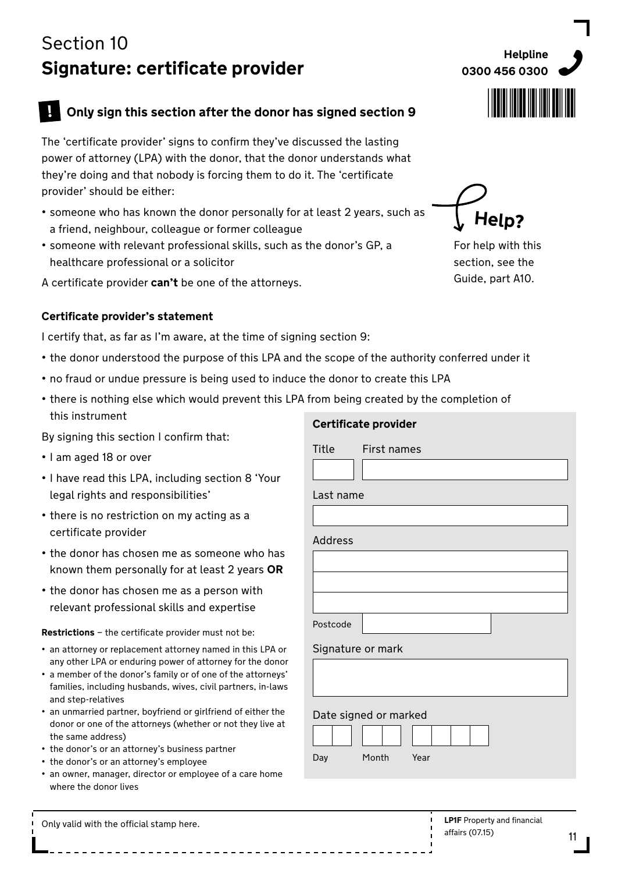### Section 10 **Signature: certificate provider**

#### **Only sign this section after the donor has signed section 9**

The 'certificate provider' signs to confirm they've discussed the lasting power of attorney (LPA) with the donor, that the donor understands what they're doing and that nobody is forcing them to do it. The 'certificate provider' should be either:

- someone who has known the donor personally for at least 2 years, such as a friend, neighbour, colleague or former colleague
- someone with relevant professional skills, such as the donor's GP, a healthcare professional or a solicitor

A certificate provider **can't** be one of the attorneys.

#### **Certificate provider's statement**

I certify that, as far as I'm aware, at the time of signing section 9:

- the donor understood the purpose of this LPA and the scope of the authority conferred under it
- no fraud or undue pressure is being used to induce the donor to create this LPA
- there is nothing else which would prevent this LPA from being created by the completion of this instrument

By signing this section I confirm that:

- I am aged 18 or over
- I have read this LPA, including section 8 'Your legal rights and responsibilities'
- there is no restriction on my acting as a certificate provider
- the donor has chosen me as someone who has known them personally for at least 2 years **OR**
- the donor has chosen me as a person with relevant professional skills and expertise

**Restrictions** – the certificate provider must not be:

- an attorney or replacement attorney named in this LPA or any other LPA or enduring power of attorney for the donor
- a member of the donor's family or of one of the attorneys' families, including husbands, wives, civil partners, in-laws and step-relatives
- an unmarried partner, boyfriend or girlfriend of either the donor or one of the attorneys (whether or not they live at the same address)
- the donor's or an attorney's business partner
- the donor's or an attorney's employee
- an owner, manager, director or employee of a care home where the donor lives

**Helpline 0300 456 0300** 



For help with this section, see the Guide, part A10.

| Certificate provider |                       |
|----------------------|-----------------------|
| Title                | <b>Eirst names</b>    |
|                      |                       |
| Last name            |                       |
|                      |                       |
| Address              |                       |
|                      |                       |
|                      |                       |
|                      |                       |
| Postcode             |                       |
| Signature or mark    |                       |
|                      |                       |
|                      |                       |
|                      | Date signed or marked |
|                      |                       |
| Day                  | Month<br>Year         |
|                      |                       |

Only valid with the official stamp here.

**LP1F** Property and financial affairs (07.15)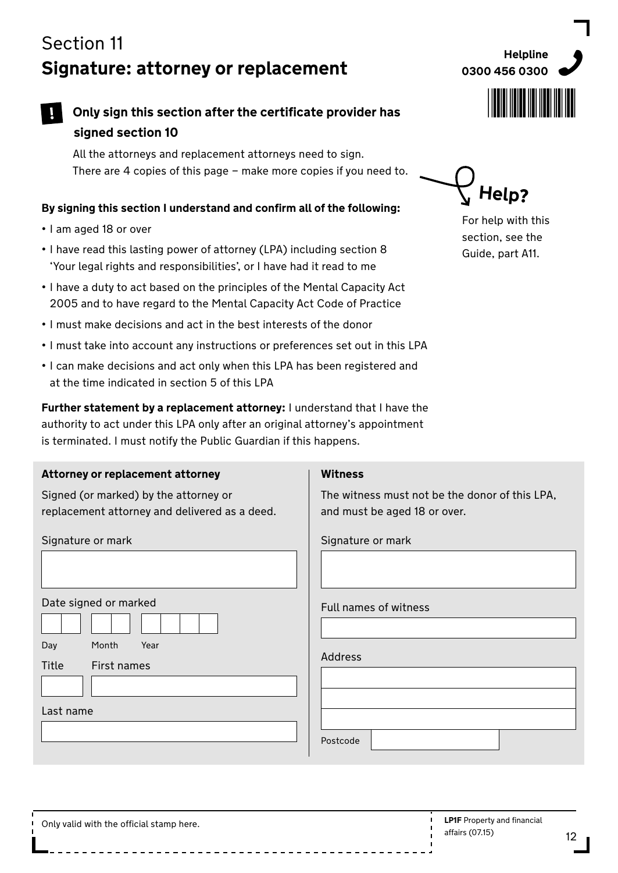### **Only sign this section after the certificate provider has signed section 10**

All the attorneys and replacement attorneys need to sign. There are 4 copies of this page – make more copies if you need to.

#### **By signing this section I understand and confirm all of the following:**

- I am aged 18 or over
- I have read this lasting power of attorney (LPA) including section 8 'Your legal rights and responsibilities', or I have had it read to me
- I have a duty to act based on the principles of the Mental Capacity Act 2005 and to have regard to the Mental Capacity Act Code of Practice
- I must make decisions and act in the best interests of the donor
- I must take into account any instructions or preferences set out in this LPA
- I can make decisions and act only when this LPA has been registered and at the time indicated in section 5 of this LPA

**Further statement by a replacement attorney:** I understand that I have the authority to act under this LPA only after an original attorney's appointment is terminated. I must notify the Public Guardian if this happens.

#### **Attorney or replacement attorney**

Signed (or marked) by the attorney or replacement attorney and delivered as a deed.

Signature or mark

 $\overline{1}$ 

|              | Date signed or marked |      |  |  |
|--------------|-----------------------|------|--|--|
|              |                       |      |  |  |
| Day          | Month                 | Year |  |  |
| <b>Title</b> | First names           |      |  |  |
|              |                       |      |  |  |
| Last name    |                       |      |  |  |
|              |                       |      |  |  |

## **Helpline 0300 456 0300**

**Help?**

For help with this section, see the Guide, part A11.

#### **Witness**

The witness must not be the donor of this LPA, and must be aged 18 or over.

Signature or mark

Full names of witness

Address

Postcode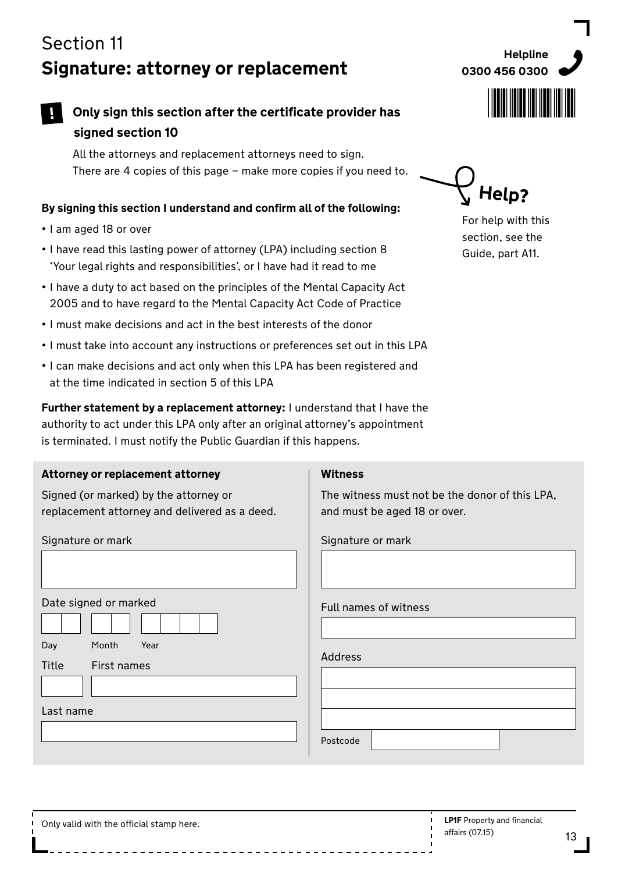#### **Only sign this section after the certificate provider has signed section 10**

All the attorneys and replacement attorneys need to sign. There are 4 copies of this page – make more copies if you need to.

#### **By signing this section I understand and confirm all of the following:**

- I am aged 18 or over
- I have read this lasting power of attorney (LPA) including section 8 'Your legal rights and responsibilities', or I have had it read to me
- I have a duty to act based on the principles of the Mental Capacity Act 2005 and to have regard to the Mental Capacity Act Code of Practice
- I must make decisions and act in the best interests of the donor
- I must take into account any instructions or preferences set out in this LPA
- I can make decisions and act only when this LPA has been registered and at the time indicated in section 5 of this LPA

**Further statement by a replacement attorney:** I understand that I have the authority to act under this LPA only after an original attorney's appointment is terminated. I must notify the Public Guardian if this happens.

#### **Attorney or replacement attorney**

Signed (or marked) by the attorney or replacement attorney and delivered as a deed.

Signature or mark

Date signed or marked Day Month Year Title First names Last name

#### **Witness**

The witness must not be the donor of this LPA, and must be aged 18 or over.

Signature or mark

Full names of witness

Address

Postcode

**Help?**

For help with this section, see the Guide, part A11.

**Helpline**

<u>|||||||||||||||||</u>

**0300 456 0300**

**LP1F** Property and financial affairs (07.15)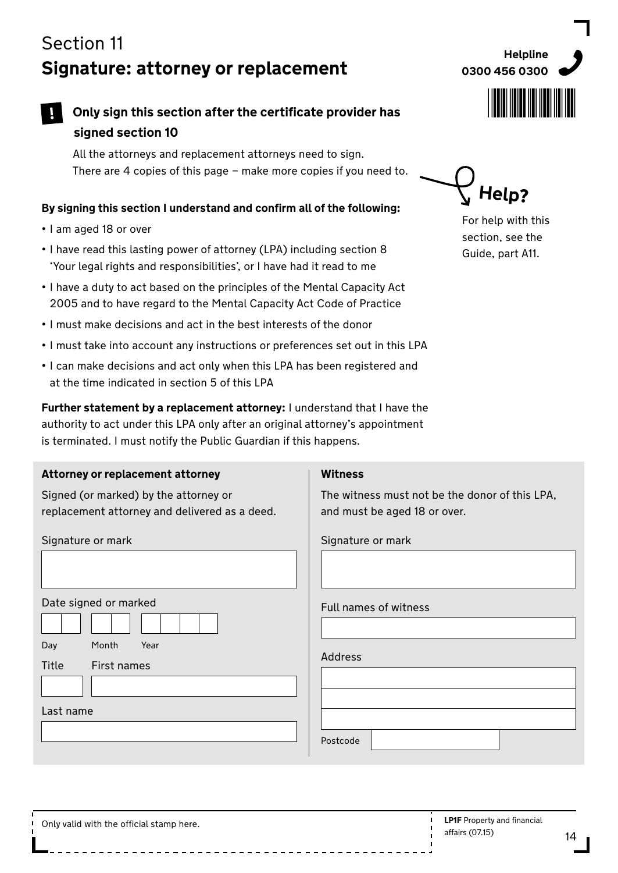#### **Only sign this section after the certificate provider has signed section 10**

All the attorneys and replacement attorneys need to sign. There are 4 copies of this page – make more copies if you need to.

#### **By signing this section I understand and confirm all of the following:**

- I am aged 18 or over
- I have read this lasting power of attorney (LPA) including section 8 'Your legal rights and responsibilities', or I have had it read to me
- I have a duty to act based on the principles of the Mental Capacity Act 2005 and to have regard to the Mental Capacity Act Code of Practice
- I must make decisions and act in the best interests of the donor
- I must take into account any instructions or preferences set out in this LPA
- I can make decisions and act only when this LPA has been registered and at the time indicated in section 5 of this LPA

**Further statement by a replacement attorney:** I understand that I have the authority to act under this LPA only after an original attorney's appointment is terminated. I must notify the Public Guardian if this happens.

#### **Attorney or replacement attorney**

Signed (or marked) by the attorney or replacement attorney and delivered as a deed.

Signature or mark

Date signed or marked Day Month Year Title First names Last name

#### **Witness**

The witness must not be the donor of this LPA, and must be aged 18 or over.

Signature or mark

Full names of witness

Address

Postcode

**Help?**

For help with this section, see the Guide, part A11.

**Helpline**

<u>|||||||||||||||||</u>

**0300 456 0300**

14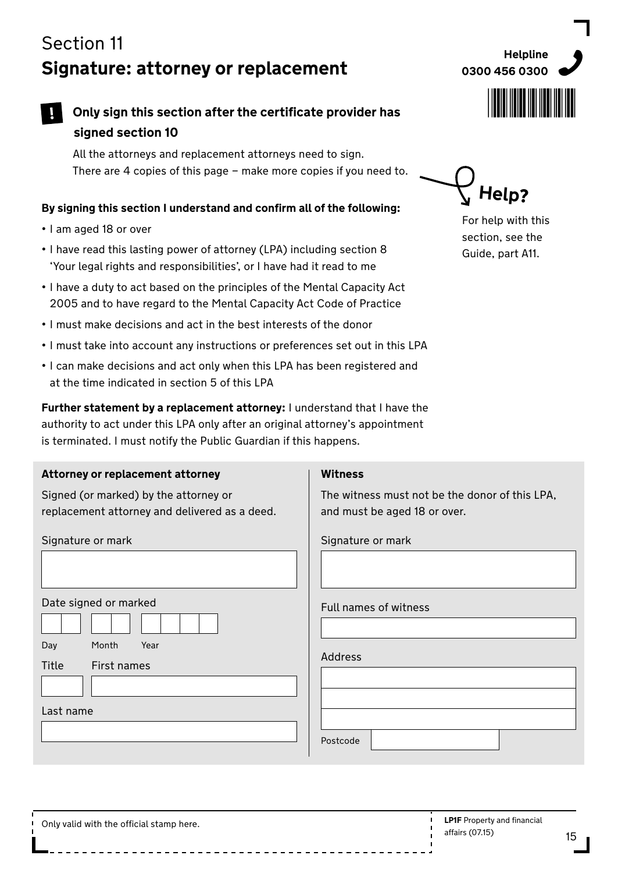#### **Only sign this section after the certificate provider has signed section 10**

All the attorneys and replacement attorneys need to sign. There are 4 copies of this page – make more copies if you need to.

#### **By signing this section I understand and confirm all of the following:**

- I am aged 18 or over
- I have read this lasting power of attorney (LPA) including section 8 'Your legal rights and responsibilities', or I have had it read to me
- I have a duty to act based on the principles of the Mental Capacity Act 2005 and to have regard to the Mental Capacity Act Code of Practice
- I must make decisions and act in the best interests of the donor
- I must take into account any instructions or preferences set out in this LPA
- I can make decisions and act only when this LPA has been registered and at the time indicated in section 5 of this LPA

**Further statement by a replacement attorney:** I understand that I have the authority to act under this LPA only after an original attorney's appointment is terminated. I must notify the Public Guardian if this happens.

#### **Attorney or replacement attorney**

Signed (or marked) by the attorney or replacement attorney and delivered as a deed.

Signature or mark

Date signed or marked Day Month Year Title First names Last name

#### **Witness**

The witness must not be the donor of this LPA, and must be aged 18 or over.

Signature or mark

Full names of witness

Address

Postcode

**Help?**

For help with this section, see the Guide, part A11.

**Helpline**

<u>|||||||||||||||||</u>

**0300 456 0300**

**LP1F** Property and financial affairs (07.15)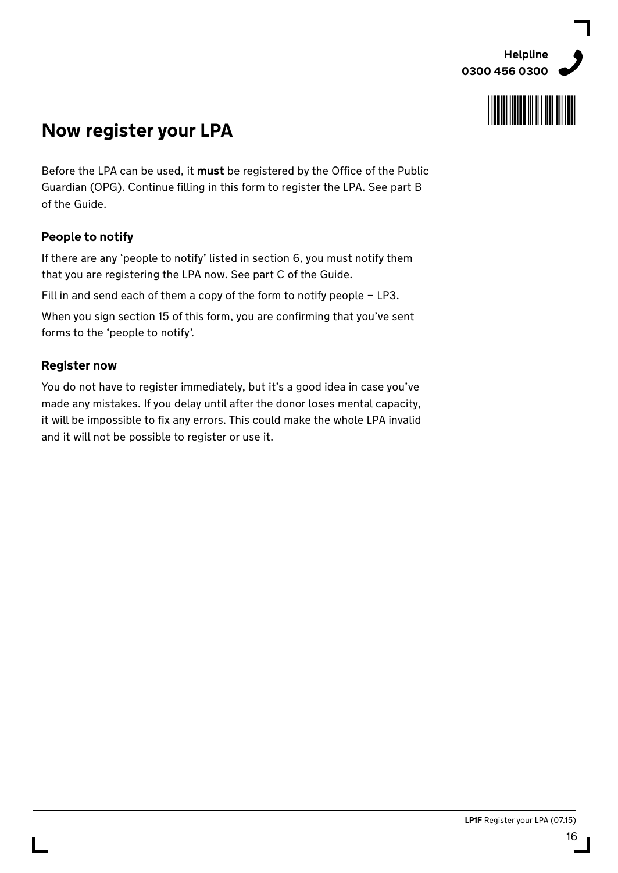

### **Now register your LPA**

Before the LPA can be used, it **must** be registered by the Office of the Public Guardian (OPG). Continue filling in this form to register the LPA. See part B of the Guide.

#### **People to notify**

If there are any 'people to notify' listed in section 6, you must notify them that you are registering the LPA now. See part C of the Guide.

Fill in and send each of them a copy of the form to notify people – LP3.

When you sign section 15 of this form, you are confirming that you've sent forms to the 'people to notify'.

#### **Register now**

You do not have to register immediately, but it's a good idea in case you've made any mistakes. If you delay until after the donor loses mental capacity, it will be impossible to fix any errors. This could make the whole LPA invalid and it will not be possible to register or use it.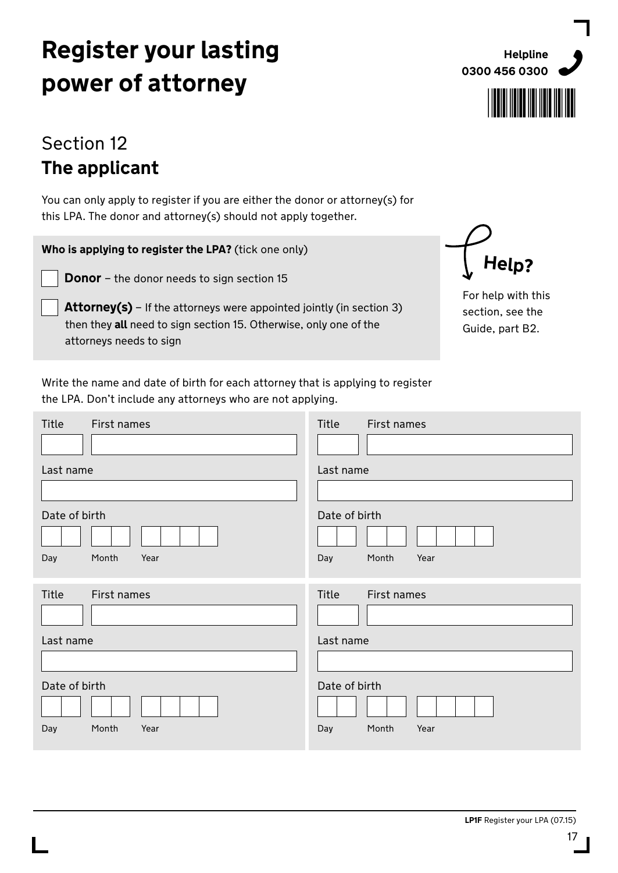17

## **Register your lasting power of attorney**

### Section 12 **The applicant**

You can only apply to register if you are either the donor or attorney(s) for this LPA. The donor and attorney(s) should not apply together.

**Who is applying to register the LPA?** (tick one only) **Donor** – the donor needs to sign section 15 **Attorney(s)** – If the attorneys were appointed jointly (in section 3) then they **all** need to sign section 15. Otherwise, only one of the attorneys needs to sign

Write the name and date of birth for each attorney that is applying to register the LPA. Don't include any attorneys who are not applying.

| Title         | Title         |
|---------------|---------------|
| First names   | First names   |
| Last name     | Last name     |
| Date of birth | Date of birth |
| Month         | Month         |
| Year          | Day           |
| Day           | Year          |
| Title         | Title         |
| First names   | First names   |
| Last name     | Last name     |
| Date of birth | Date of birth |
| Month         | Month         |
| Year          | Day           |
| Day           | Year          |



For help with this section, see the Guide, part B2.

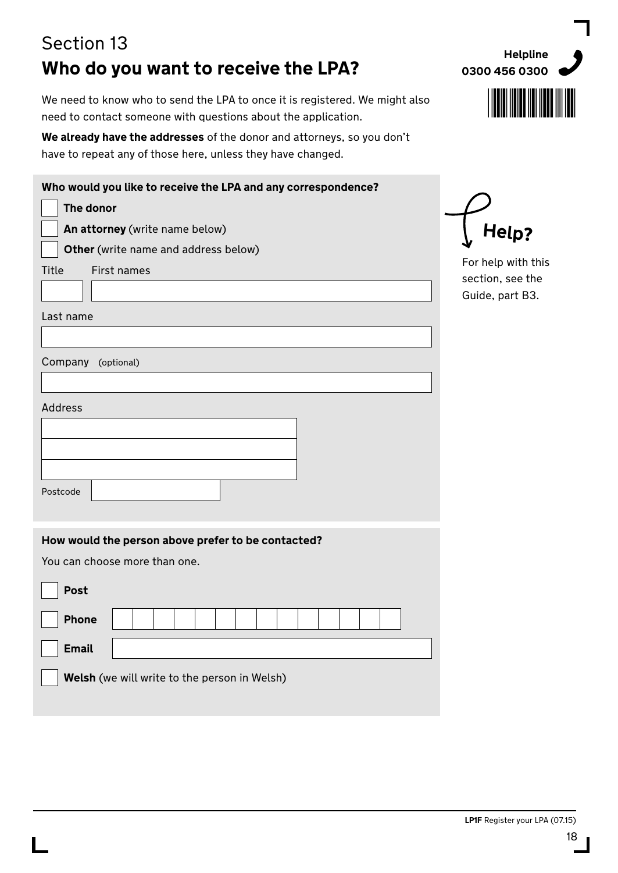### Section 13 **Who do you want to receive the LPA?**

We need to know who to send the LPA to once it is registered. We might also need to contact someone with questions about the application.

**We already have the addresses** of the donor and attorneys, so you don't have to repeat any of those here, unless they have changed.

| Who would you like to receive the LPA and any correspondence? |                                        |
|---------------------------------------------------------------|----------------------------------------|
| The donor                                                     |                                        |
| An attorney (write name below)                                | Help?                                  |
| Other (write name and address below)                          |                                        |
| <b>Title</b><br>First names                                   | For help with this<br>section, see the |
|                                                               | Guide, part B3.                        |
| Last name                                                     |                                        |
|                                                               |                                        |
| Company<br>(optional)                                         |                                        |
|                                                               |                                        |
| Address                                                       |                                        |
|                                                               |                                        |
|                                                               |                                        |
|                                                               |                                        |
| Postcode                                                      |                                        |
|                                                               |                                        |
| How would the person above prefer to be contacted?            |                                        |
| You can choose more than one.                                 |                                        |
| Post                                                          |                                        |
| <b>Phone</b>                                                  |                                        |
| <b>Email</b>                                                  |                                        |
| Welsh (we will write to the person in Welsh)                  |                                        |
|                                                               |                                        |



**LP1F** Register your LPA (07.15)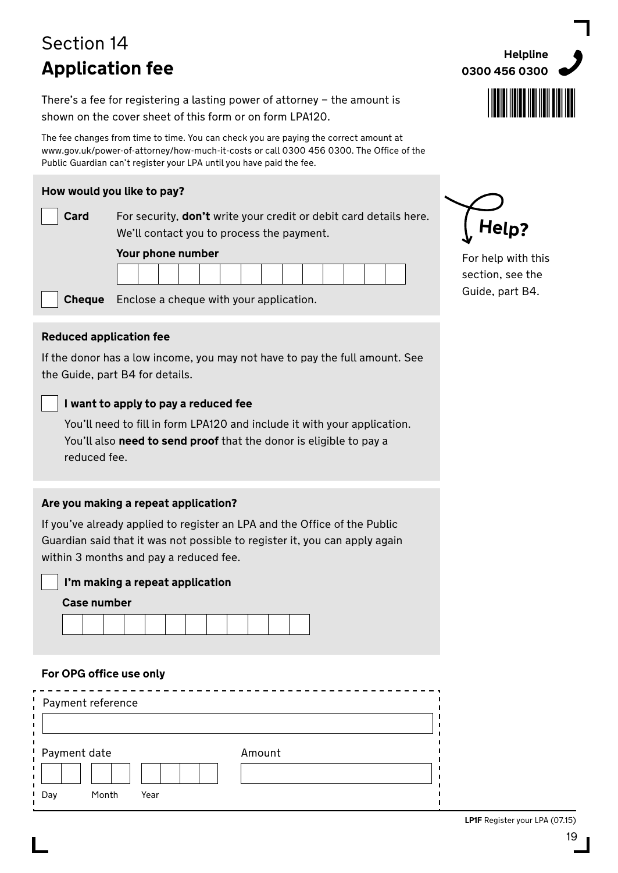### Section 14 **Application fee**

There's a fee for registering a lasting power of attorney – the amount is shown on the cover sheet of this form or on form LPA120.

The fee changes from time to time. You can check you are paying the correct amount at<br>www.gov.uk/power-of-attorney/how-much-it-costs or call 0300 456 0300. The Office of the  $\sim$ all 0300 456 0300. The Office Public Guardian can't register your LPA until you have paid the fee.

|                                                              | www.gov.uk/power-of-attorney/how-much-it-costs or call 0300 456 0300. The Office of the<br>Public Guardian can't register your LPA until you have paid the fee.                                                                                                                                          |                                                                    |
|--------------------------------------------------------------|----------------------------------------------------------------------------------------------------------------------------------------------------------------------------------------------------------------------------------------------------------------------------------------------------------|--------------------------------------------------------------------|
|                                                              | How would you like to pay?                                                                                                                                                                                                                                                                               |                                                                    |
| Card<br><b>Cheque</b>                                        | For security, <b>don't</b> write your credit or debit card details here.<br>We'll contact you to process the payment.<br>Your phone number<br>Enclose a cheque with your application.                                                                                                                    | 7elp?<br>For help with this<br>section, see the<br>Guide, part B4. |
| <b>Reduced application fee</b><br>reduced fee.               | If the donor has a low income, you may not have to pay the full amount. See<br>the Guide, part B4 for details.<br>I want to apply to pay a reduced fee<br>You'll need to fill in form LPA120 and include it with your application.<br>You'll also need to send proof that the donor is eligible to pay a |                                                                    |
| <b>Case number</b>                                           | Are you making a repeat application?<br>If you've already applied to register an LPA and the Office of the Public<br>Guardian said that it was not possible to register it, you can apply again<br>within 3 months and pay a reduced fee.<br>I'm making a repeat application                             |                                                                    |
| For OPG office use only<br>Payment reference<br>Payment date | Amount                                                                                                                                                                                                                                                                                                   |                                                                    |
| Month<br>Day                                                 | Year                                                                                                                                                                                                                                                                                                     |                                                                    |



19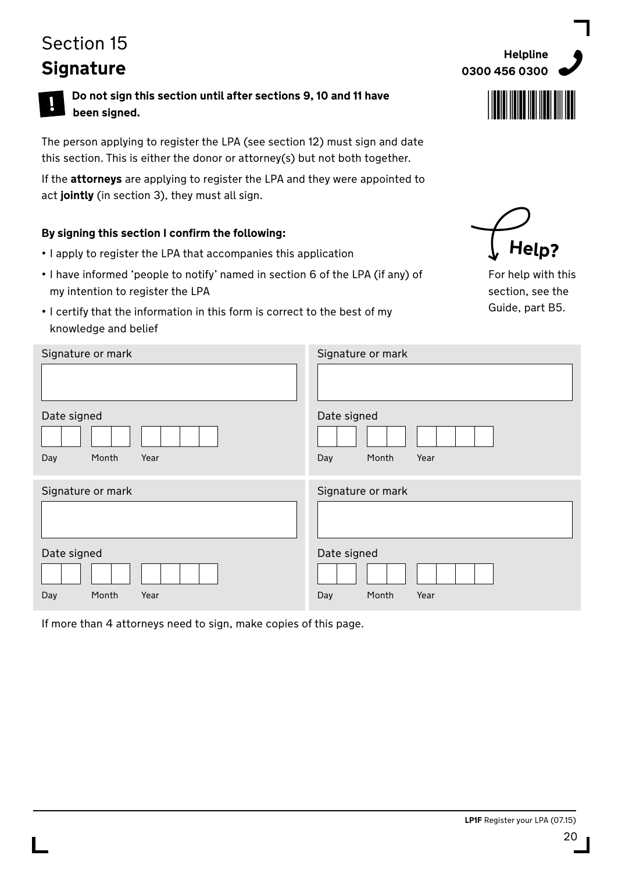### Section 15 **Signature**





**Do not sign this section until after sections 9, 10 and 11 have been signed.**

The person applying to register the LPA (see section 12) must sign and date this section. This is either the donor or attorney(s) but not both together.

If the **attorneys** are applying to register the LPA and they were appointed to act **jointly** (in section 3), they must all sign.

#### **By signing this section I confirm the following:**

- I apply to register the LPA that accompanies this application
- I have informed 'people to notify' named in section 6 of the LPA (if any) of my intention to register the LPA
- I certify that the information in this form is correct to the best of my knowledge and belief

| Signature or mark    | Signature or mark    |
|----------------------|----------------------|
|                      |                      |
| Date signed          | Date signed          |
|                      |                      |
| Month<br>Day<br>Year | Day<br>Month<br>Year |
| Signature or mark    | Signature or mark    |
|                      |                      |
| Date signed          | Date signed          |
|                      |                      |
| Year<br>Month<br>Day | Day<br>Year<br>Month |

If more than 4 attorneys need to sign, make copies of this page.



For help with this section, see the Guide, part B5.